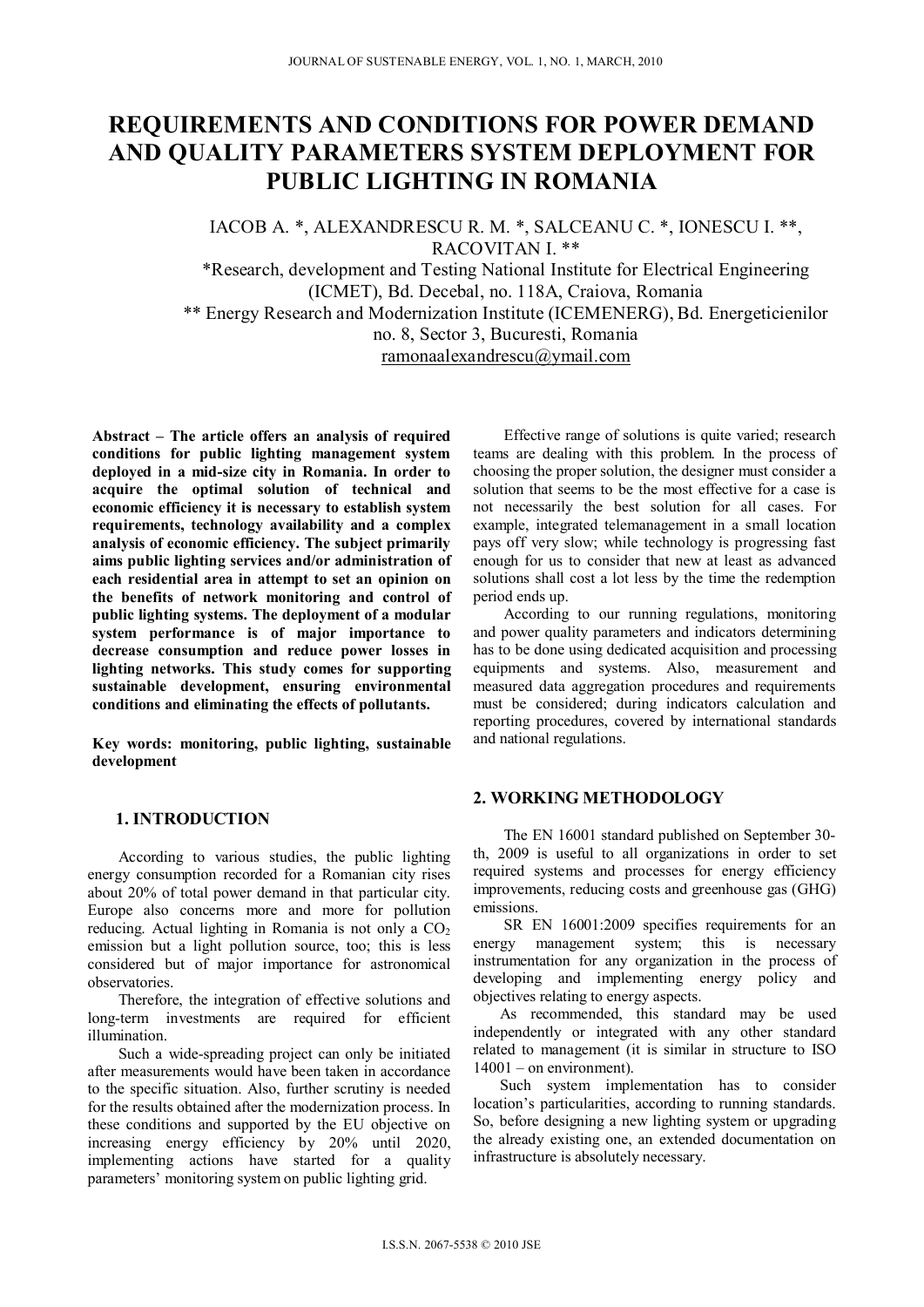# **REQUIREMENTS AND CONDITIONS FOR POWER DEMAND AND QUALITY PARAMETERS SYSTEM DEPLOYMENT FOR PUBLIC LIGHTING IN ROMANIA**

IACOB A. \*, ALEXANDRESCU R. M. \*, SALCEANU C. \*, IONESCU I. \*\*, RACOVITAN I \*\*

\*Research, development and Testing National Institute for Electrical Engineering (ICMET), Bd. Decebal, no. 118A, Craiova, Romania \*\* Energy Research and Modernization Institute (ICEMENERG), Bd. Energeticienilor no. 8, Sector 3, Bucuresti, Romania ramonaalexandrescu@ymail.com

**Abstract – The article offers an analysis of required conditions for public lighting management system deployed in a mid-size city in Romania. In order to acquire the optimal solution of technical and economic efficiency it is necessary to establish system requirements, technology availability and a complex analysis of economic efficiency. The subject primarily aims public lighting services and/or administration of each residential area in attempt to set an opinion on the benefits of network monitoring and control of public lighting systems. The deployment of a modular system performance is of major importance to decrease consumption and reduce power losses in lighting networks. This study comes for supporting sustainable development, ensuring environmental conditions and eliminating the effects of pollutants.** 

**Key words: monitoring, public lighting, sustainable development** 

#### **1. INTRODUCTION**

According to various studies, the public lighting energy consumption recorded for a Romanian city rises about 20% of total power demand in that particular city. Europe also concerns more and more for pollution reducing. Actual lighting in Romania is not only a  $CO<sub>2</sub>$ emission but a light pollution source, too; this is less considered but of major importance for astronomical observatories.

Therefore, the integration of effective solutions and long-term investments are required for efficient illumination.

Such a wide-spreading project can only be initiated after measurements would have been taken in accordance to the specific situation. Also, further scrutiny is needed for the results obtained after the modernization process. In these conditions and supported by the EU objective on increasing energy efficiency by 20% until 2020, implementing actions have started for a quality parameters' monitoring system on public lighting grid.

Effective range of solutions is quite varied; research teams are dealing with this problem. In the process of choosing the proper solution, the designer must consider a solution that seems to be the most effective for a case is not necessarily the best solution for all cases. For example, integrated telemanagement in a small location pays off very slow; while technology is progressing fast enough for us to consider that new at least as advanced solutions shall cost a lot less by the time the redemption period ends up.

According to our running regulations, monitoring and power quality parameters and indicators determining has to be done using dedicated acquisition and processing equipments and systems. Also, measurement and measured data aggregation procedures and requirements must be considered; during indicators calculation and reporting procedures, covered by international standards and national regulations.

#### **2. WORKING METHODOLOGY**

The EN 16001 standard published on September 30 th, 2009 is useful to all organizations in order to set required systems and processes for energy efficiency improvements, reducing costs and greenhouse gas (GHG) emissions.

SR EN 16001:2009 specifies requirements for an energy management system; this is necessary instrumentation for any organization in the process of developing and implementing energy policy and objectives relating to energy aspects.

As recommended, this standard may be used independently or integrated with any other standard related to management (it is similar in structure to ISO 14001 – on environment).

Such system implementation has to consider location's particularities, according to running standards. So, before designing a new lighting system or upgrading the already existing one, an extended documentation on infrastructure is absolutely necessary.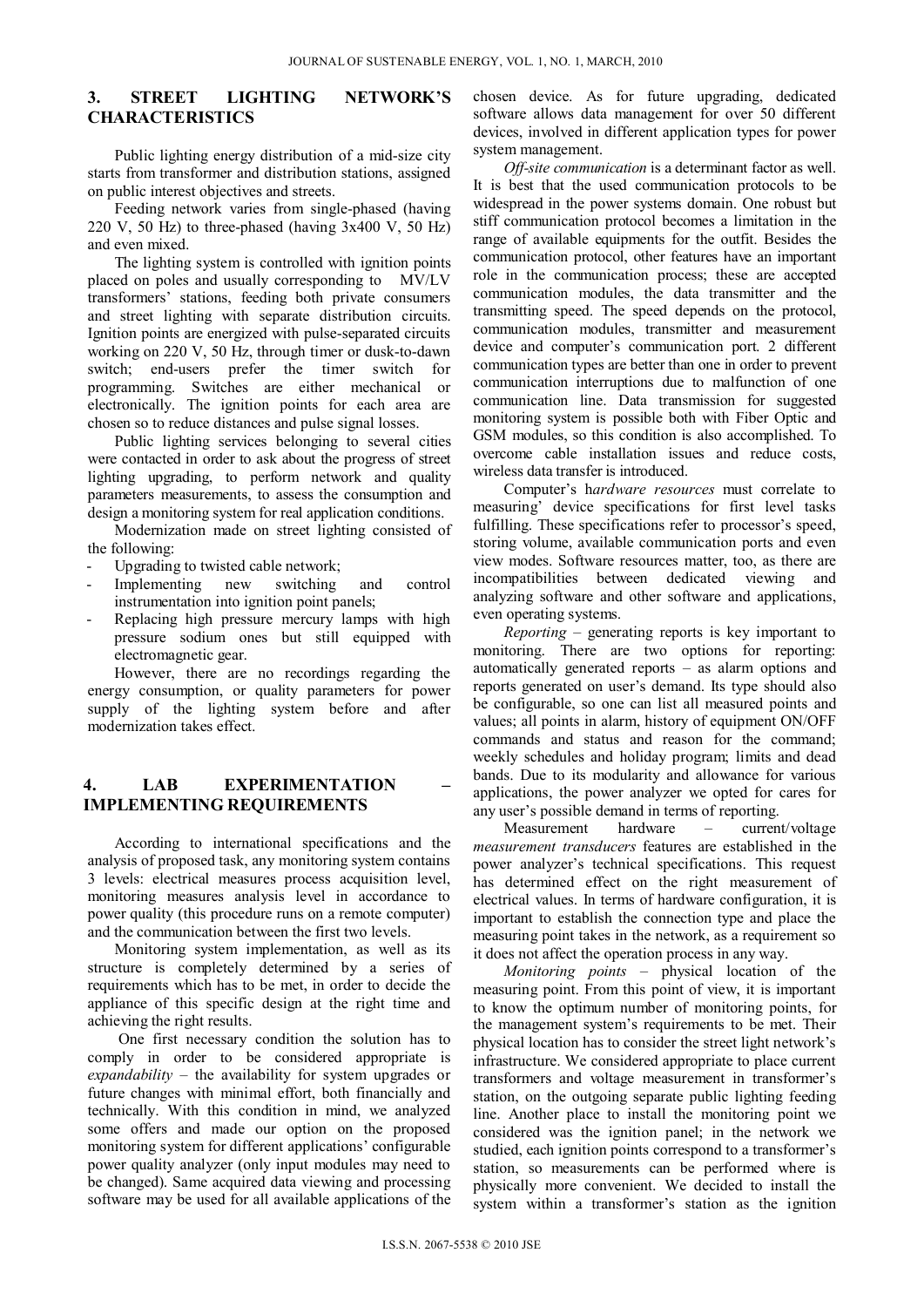# **3. STREET LIGHTING NETWORK'S CHARACTERISTICS**

Public lighting energy distribution of a mid-size city starts from transformer and distribution stations, assigned on public interest objectives and streets.

Feeding network varies from single-phased (having 220 V, 50 Hz) to three-phased (having  $3x400$  V, 50 Hz) and even mixed.

The lighting system is controlled with ignition points placed on poles and usually corresponding to MV/LV transformers' stations, feeding both private consumers and street lighting with separate distribution circuits. Ignition points are energized with pulse-separated circuits working on 220 V, 50 Hz, through timer or dusk-to-dawn switch; end-users prefer the timer switch for programming. Switches are either mechanical or electronically. The ignition points for each area are chosen so to reduce distances and pulse signal losses.

Public lighting services belonging to several cities were contacted in order to ask about the progress of street lighting upgrading, to perform network and quality parameters measurements, to assess the consumption and design a monitoring system for real application conditions.

Modernization made on street lighting consisted of the following:

- Upgrading to twisted cable network;
- Implementing new switching and control instrumentation into ignition point panels;
- Replacing high pressure mercury lamps with high pressure sodium ones but still equipped with electromagnetic gear.

However, there are no recordings regarding the energy consumption, or quality parameters for power supply of the lighting system before and after modernization takes effect.

## **4. LAB EXPERIMENTATION – IMPLEMENTING REQUIREMENTS**

According to international specifications and the analysis of proposed task, any monitoring system contains 3 levels: electrical measures process acquisition level, monitoring measures analysis level in accordance to power quality (this procedure runs on a remote computer) and the communication between the first two levels.

Monitoring system implementation, as well as its structure is completely determined by a series of requirements which has to be met, in order to decide the appliance of this specific design at the right time and achieving the right results.

One first necessary condition the solution has to comply in order to be considered appropriate is *expandability* – the availability for system upgrades or future changes with minimal effort, both financially and technically. With this condition in mind, we analyzed some offers and made our option on the proposed monitoring system for different applications' configurable power quality analyzer (only input modules may need to be changed). Same acquired data viewing and processing software may be used for all available applications of the chosen device. As for future upgrading, dedicated software allows data management for over 50 different devices, involved in different application types for power system management.

*Off-site communication* is a determinant factor as well. It is best that the used communication protocols to be widespread in the power systems domain. One robust but stiff communication protocol becomes a limitation in the range of available equipments for the outfit. Besides the communication protocol, other features have an important role in the communication process; these are accepted communication modules, the data transmitter and the transmitting speed. The speed depends on the protocol, communication modules, transmitter and measurement device and computer's communication port. 2 different communication types are better than one in order to prevent communication interruptions due to malfunction of one communication line. Data transmission for suggested monitoring system is possible both with Fiber Optic and GSM modules, so this condition is also accomplished. To overcome cable installation issues and reduce costs, wireless data transfer is introduced.

Computer's h*ardware resources* must correlate to measuring' device specifications for first level tasks fulfilling. These specifications refer to processor's speed, storing volume, available communication ports and even view modes. Software resources matter, too, as there are incompatibilities between dedicated viewing and analyzing software and other software and applications, even operating systems.

*Reporting* – generating reports is key important to monitoring. There are two options for reporting: automatically generated reports – as alarm options and reports generated on user's demand. Its type should also be configurable, so one can list all measured points and values; all points in alarm, history of equipment ON/OFF commands and status and reason for the command; weekly schedules and holiday program; limits and dead bands. Due to its modularity and allowance for various applications, the power analyzer we opted for cares for any user's possible demand in terms of reporting.

Measurement hardware – current/voltage *measurement transducers* features are established in the power analyzer's technical specifications. This request has determined effect on the right measurement of electrical values. In terms of hardware configuration, it is important to establish the connection type and place the measuring point takes in the network, as a requirement so it does not affect the operation process in any way.

*Monitoring points* – physical location of the measuring point. From this point of view, it is important to know the optimum number of monitoring points, for the management system's requirements to be met. Their physical location has to consider the street light network's infrastructure. We considered appropriate to place current transformers and voltage measurement in transformer's station, on the outgoing separate public lighting feeding line. Another place to install the monitoring point we considered was the ignition panel; in the network we studied, each ignition points correspond to a transformer's station, so measurements can be performed where is physically more convenient. We decided to install the system within a transformer's station as the ignition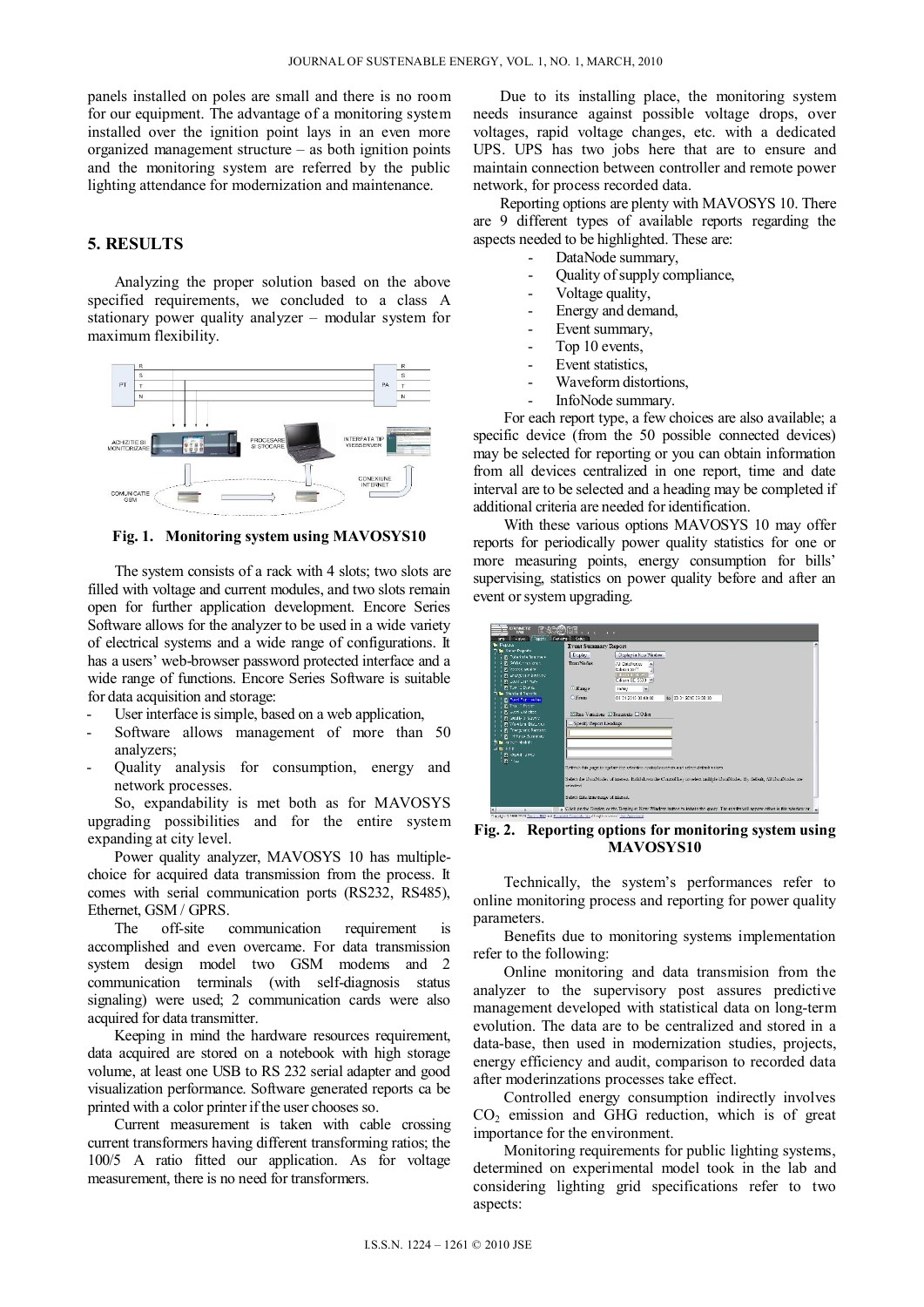panels installed on poles are small and there is no room for our equipment. The advantage of a monitoring system installed over the ignition point lays in an even more organized management structure – as both ignition points and the monitoring system are referred by the public lighting attendance for modernization and maintenance.

## **5. RESULTS**

Analyzing the proper solution based on the above specified requirements, we concluded to a class A stationary power quality analyzer – modular system for maximum flexibility.



#### **Fig. 1. Monitoring system using MAVOSYS10**

The system consists of a rack with 4 slots; two slots are filled with voltage and current modules, and two slots remain open for further application development. Encore Series Software allows for the analyzer to be used in a wide variety of electrical systems and a wide range of configurations. It has a users' web-browser password protected interface and a wide range of functions. Encore Series Software is suitable for data acquisition and storage:

- User interface is simple, based on a web application,
- Software allows management of more than 50 analyzers;
- Quality analysis for consumption, energy and network processes.

So, expandability is met both as for MAVOSYS upgrading possibilities and for the entire system expanding at city level.

Power quality analyzer, MAVOSYS 10 has multiplechoice for acquired data transmission from the process. It comes with serial communication ports (RS232, RS485), Ethernet, GSM / GPRS.

The off-site communication requirement is accomplished and even overcame. For data transmission system design model two GSM modems and 2 communication terminals (with self-diagnosis status signaling) were used; 2 communication cards were also acquired for data transmitter.

Keeping in mind the hardware resources requirement, data acquired are stored on a notebook with high storage volume, at least one USB to RS 232 serial adapter and good visualization performance. Software generated reports ca be printed with a color printer if the user chooses so.

Current measurement is taken with cable crossing current transformers having different transforming ratios; the 100/5 A ratio fitted our application. As for voltage measurement, there is no need for transformers.

Due to its installing place, the monitoring system needs insurance against possible voltage drops, over voltages, rapid voltage changes, etc. with a dedicated UPS. UPS has two jobs here that are to ensure and maintain connection between controller and remote power network, for process recorded data.

Reporting options are plenty with MAVOSYS 10. There are 9 different types of available reports regarding the aspects needed to be highlighted. These are:

- DataNode summary.
- Quality of supply compliance,
- Voltage quality,
- Energy and demand,
- Event summary,
- Top 10 events,
- Event statistics,
- Waveform distortions,
- InfoNode summary.

For each report type, a few choices are also available; a specific device (from the 50 possible connected devices) may be selected for reporting or you can obtain information from all devices centralized in one report, time and date interval are to be selected and a heading may be completed if additional criteria are needed for identification.

With these various options MAVOSYS 10 may offer reports for periodically power quality statistics for one or more measuring points, energy consumption for bills' supervising, statistics on power quality before and after an event or system upgrading.

| <b>N</b> Report<br><b>1 &amp; Orism Pennits</b>                         | <b>Event Summary Report</b>                                         |                                                                                                                        |  |  |  |
|-------------------------------------------------------------------------|---------------------------------------------------------------------|------------------------------------------------------------------------------------------------------------------------|--|--|--|
| <b>IT: Data doda Buerna &gt;</b>                                        | <b>Display</b>                                                      | Deplay in New Window                                                                                                   |  |  |  |
| U.P. 20861 ha area<br><b>B</b> lower unity<br><b>D</b> artistive beings | <b>DaraNodes</b>                                                    | All Datable con-<br>Edison SS71<br>Lidenni 9030 - 200                                                                  |  |  |  |
| <b>D</b> Louis Lummary                                                  |                                                                     | Edison GE 5533 M                                                                                                       |  |  |  |
| 1 Di Tuo 1 Dental<br><b>Bell Ofendard Pannife</b>                       | <b>O Kunge</b>                                                      | $\overline{\phantom{a}}$<br>Today                                                                                      |  |  |  |
| (5) Ford Function for                                                   | O From:                                                             | 66 33 31 2010 09:09:30<br>03/21/2010 33:00:00                                                                          |  |  |  |
| PS extert elations:<br>Through District<br><b>Di Wareform Discorder</b> | FRan Variations, VI Transports, FD lbg.<br>Specify Report Lleadings |                                                                                                                        |  |  |  |
| B Treng she Datriane                                                    |                                                                     |                                                                                                                        |  |  |  |
| F: There Sunreat:<br><b>Right over Module</b>                           |                                                                     |                                                                                                                        |  |  |  |
| $\pm 5.14$                                                              |                                                                     |                                                                                                                        |  |  |  |
| D -report over<br>- Direk                                               |                                                                     |                                                                                                                        |  |  |  |
|                                                                         |                                                                     | Refresh this page to update the selection control contents and select default values                                   |  |  |  |
|                                                                         | selected                                                            | Select the DataNodes of interest. Hold down the Control key to select multiple DataNodes. By default. All DataNodes me |  |  |  |
|                                                                         |                                                                     |                                                                                                                        |  |  |  |

**Fig. 2. Reporting options for monitoring system using MAVOSYS10** 

Technically, the system's performances refer to online monitoring process and reporting for power quality parameters.

Benefits due to monitoring systems implementation refer to the following:

Online monitoring and data transmision from the analyzer to the supervisory post assures predictive management developed with statistical data on long-term evolution. The data are to be centralized and stored in a data-base, then used in modernization studies, projects, energy efficiency and audit, comparison to recorded data after moderinzations processes take effect.

Controlled energy consumption indirectly involves  $CO<sub>2</sub>$  emission and GHG reduction, which is of great importance for the environment.

Monitoring requirements for public lighting systems, determined on experimental model took in the lab and considering lighting grid specifications refer to two aspects: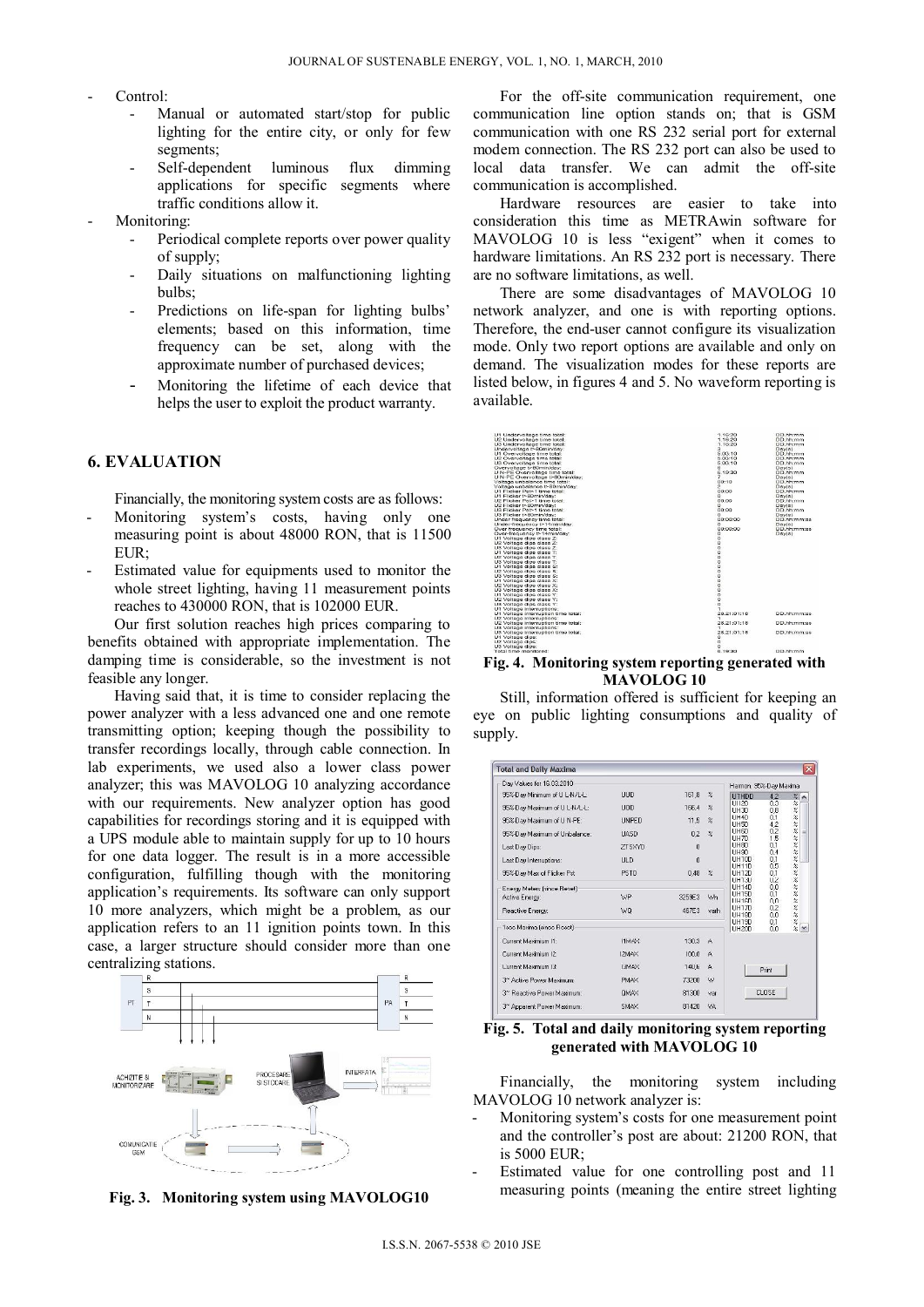- Control:
	- Manual or automated start/stop for public lighting for the entire city, or only for few segments;
	- Self-dependent luminous flux dimming applications for specific segments where traffic conditions allow it.
- Monitoring:
	- Periodical complete reports over power quality of supply;
	- Daily situations on malfunctioning lighting bulbs;
	- Predictions on life-span for lighting bulbs' elements; based on this information, time frequency can be set, along with the approximate number of purchased devices;
	- Monitoring the lifetime of each device that helps the user to exploit the product warranty.

## **6. EVALUATION**

Financially, the monitoring system costs are as follows:

- Monitoring system's costs, having only one measuring point is about 48000 RON, that is 11500 EUR;
- Estimated value for equipments used to monitor the whole street lighting, having 11 measurement points reaches to 430000 RON, that is 102000 EUR.

Our first solution reaches high prices comparing to benefits obtained with appropriate implementation. The damping time is considerable, so the investment is not feasible any longer.

Having said that, it is time to consider replacing the power analyzer with a less advanced one and one remote transmitting option; keeping though the possibility to transfer recordings locally, through cable connection. In lab experiments, we used also a lower class power analyzer; this was MAVOLOG 10 analyzing accordance with our requirements. New analyzer option has good capabilities for recordings storing and it is equipped with a UPS module able to maintain supply for up to 10 hours for one data logger. The result is in a more accessible configuration, fulfilling though with the monitoring application's requirements. Its software can only support 10 more analyzers, which might be a problem, as our application refers to an 11 ignition points town. In this case, a larger structure should consider more than one centralizing stations.



**Fig. 3. Monitoring system using MAVOLOG10** 

For the off-site communication requirement, one communication line option stands on; that is GSM communication with one RS 232 serial port for external modem connection. The RS 232 port can also be used to local data transfer. We can admit the off-site communication is accomplished.

Hardware resources are easier to take into consideration this time as METRAwin software for MAVOLOG 10 is less "exigent" when it comes to hardware limitations. An RS 232 port is necessary. There are no software limitations, as well.

There are some disadvantages of MAVOLOG 10 network analyzer, and one is with reporting options. Therefore, the end-user cannot configure its visualization mode. Only two report options are available and only on demand. The visualization modes for these reports are listed below, in figures 4 and 5. No waveform reporting is available.



**Fig. 4. Monitoring system reporting generated with MAVOLOG 10** 

Still, information offered is sufficient for keeping an eye on public lighting consumptions and quality of supply.

| Day Values for 16.03.2010              |               |                     |                     | Harmon, 95%-Day Maxima       |                   |                                                        |
|----------------------------------------|---------------|---------------------|---------------------|------------------------------|-------------------|--------------------------------------------------------|
| 95%-Day Minimum of U L-N/L-L:          | <b>UUD</b>    | 161.8               | $\frac{2}{\pi}$     | <b>UTHDD</b>                 | 4.2               | $\%$<br>$\hat{\phantom{a}}$                            |
| 95%-Day Maximum of U L-N/L-L:          | <b>UOD</b>    | 166.4               | $\frac{9}{6}$       | UI12D<br>UH3D                | 0.0<br>0.8        | $\frac{6}{16}$<br>$\%$                                 |
| 95%-Day Maximum of U N-PE:             | <b>LINPED</b> | 11.5                | $\frac{2}{\Lambda}$ | UH4D<br>UH5D                 | 0,1<br>4,2        |                                                        |
| 95%-Day Maximum of Unbalance:          | <b>HASD</b>   | 0,2                 | $\frac{9}{26}$      | UH6D<br>LIH7D                | 0,2<br>1.5        | 26, 26, 26, 26                                         |
| Last Day Dips:                         | <b>ZTSXYD</b> | 0                   |                     | UH8D<br>LIH9D                | 0,1<br>0.4        |                                                        |
| Last Day Interruptions:                | <b>ULD</b>    | $\ddot{\mathbf{0}}$ |                     | UH10D                        | 0,1               | $\frac{2}{3}$                                          |
| 95%-Day Max of Flicker Pst             | PSTD          | 0.48                | $\frac{2}{4}$       | UH11D<br><b>UH12D</b>        | 0.5<br>0.1        | $\frac{6}{26}$<br>$\gamma_{\!\scriptscriptstyle \phi}$ |
| Energy Meters [since Reset]            |               |                     |                     | UH13D<br>UH14D               | <b>U.2</b><br>0.0 | $\rm{Z}$<br>$\frac{2}{6}$                              |
| Active Energy:                         | WP            | 3259E3              | Wh                  | <b>UH15D</b><br><b>HH16D</b> | 0.1<br>n.n        |                                                        |
| Reactive Energy:                       | WQ            | 467E3               | varh.               | <b>UH17D</b><br>UH18D        | 0.2<br>0.0        | 88.98                                                  |
| 1soc Maxima (since Roset)              |               |                     |                     | UH19D<br><b>UH20D</b>        | 0,1<br>0.0        | $\frac{2}{2}$ $\sim$                                   |
| Current Maximium I1:                   | <b>ZAMTI</b>  | 130.3               | $\mathbf{A}$        |                              |                   |                                                        |
| Current Maximium I2:                   | IZMAX         | 100.0               | A                   |                              |                   |                                                        |
| Current Maximum (3:                    | <b>YAMET</b>  | <b>14U,6</b>        | $\mathsf{A}$        |                              | Print             |                                                        |
| 3 <sup>~</sup> Active Power Maximum:   | <b>PMAX</b>   | 73200               | W                   |                              |                   |                                                        |
| 3 <sup>~</sup> Reactive Power Maximum: | OMAX          | 81300               | var                 |                              | CLOSE             |                                                        |
| 3~ Apparent Power Maximum:             | SMAX          | 81420               | VA                  |                              |                   |                                                        |

**Fig. 5. Total and daily monitoring system reporting generated with MAVOLOG 10** 

Financially, the monitoring system including MAVOLOG 10 network analyzer is:

- Monitoring system's costs for one measurement point and the controller's post are about: 21200 RON, that is 5000 EUR;
- Estimated value for one controlling post and 11 measuring points (meaning the entire street lighting